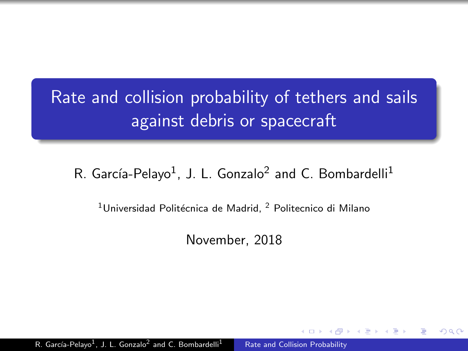## <span id="page-0-0"></span>Rate and collision probability of tethers and sails against debris or spacecraft

#### R. García-Pelayo<sup>1</sup>, J. L. Gonzalo<sup>2</sup> and C. Bombardelli<sup>1</sup>

 $1$ Universidad Politécnica de Madrid,  $2$  Politecnico di Milano

November, 2018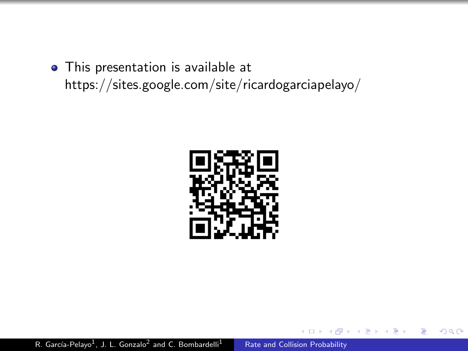This presentation is available at https://sites.google.com/site/ricardogarciapelayo/

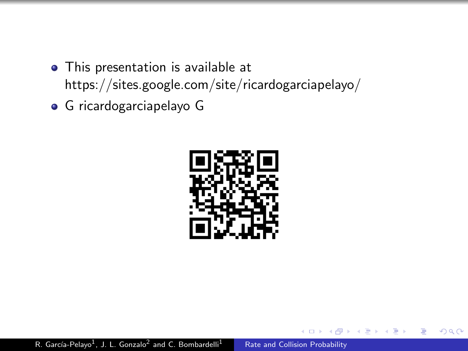- This presentation is available at https://sites.google.com/site/ricardogarciapelayo/
- G ricardogarciapelayo G



つくへ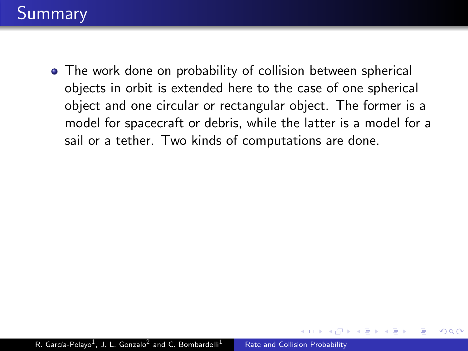The work done on probability of collision between spherical objects in orbit is extended here to the case of one spherical object and one circular or rectangular object. The former is a model for spacecraft or debris, while the latter is a model for a sail or a tether. Two kinds of computations are done.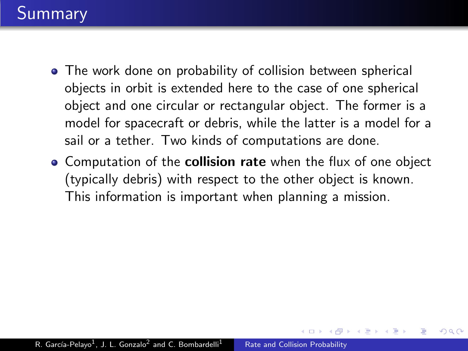- The work done on probability of collision between spherical objects in orbit is extended here to the case of one spherical object and one circular or rectangular object. The former is a model for spacecraft or debris, while the latter is a model for a sail or a tether. Two kinds of computations are done.
- **Computation of the collision rate** when the flux of one object (typically debris) with respect to the other object is known. This information is important when planning a mission.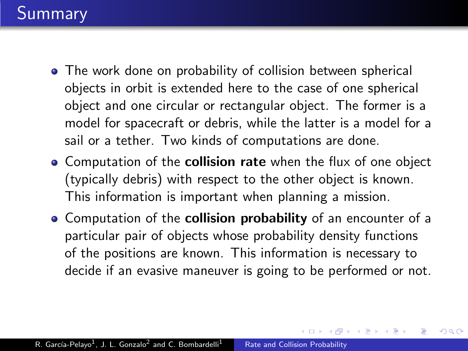- The work done on probability of collision between spherical objects in orbit is extended here to the case of one spherical object and one circular or rectangular object. The former is a model for spacecraft or debris, while the latter is a model for a sail or a tether. Two kinds of computations are done.
- **Computation of the collision rate** when the flux of one object (typically debris) with respect to the other object is known. This information is important when planning a mission.
- **Computation of the collision probability** of an encounter of a particular pair of objects whose probability density functions of the positions are known. This information is necessary to decide if an evasive maneuver is going to be performed or not.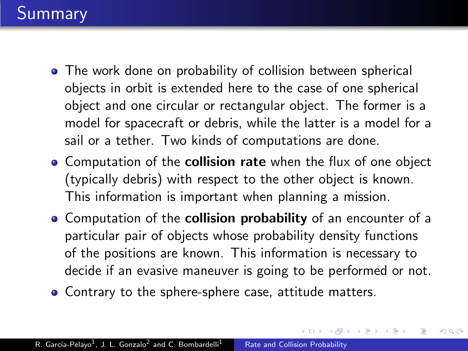- The work done on probability of collision between spherical objects in orbit is extended here to the case of one spherical object and one circular or rectangular object. The former is a model for spacecraft or debris, while the latter is a model for a sail or a tether. Two kinds of computations are done.
- **Computation of the collision rate** when the flux of one object (typically debris) with respect to the other object is known. This information is important when planning a mission.
- **Computation of the collision probability** of an encounter of a particular pair of objects whose probability density functions of the positions are known. This information is necessary to decide if an evasive maneuver is going to be performed or not.

つくい

Contrary to the sphere-sphere case, attitude matters.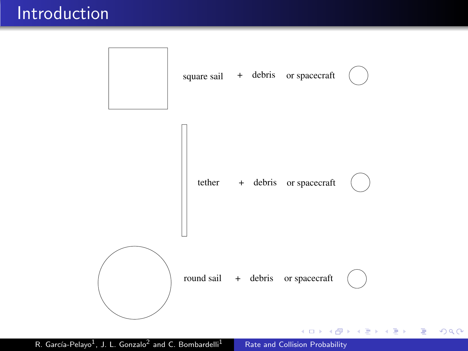#### Introduction



R. García-Pelayo<sup>1</sup>, J. L. Gonzalo<sup>2</sup>

[Rate and Collision Probability](#page-0-0)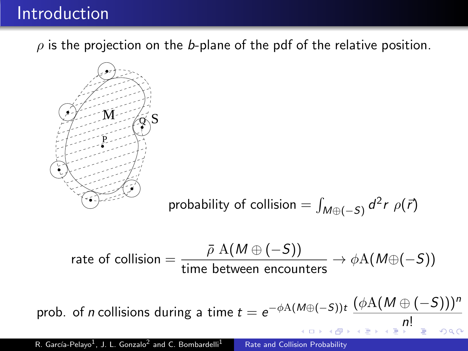#### **Introduction**

 $\rho$  is the projection on the b-plane of the pdf of the relative position.



probability of collision = 
$$
\int_{M \oplus (-S)} d^2r \rho(\vec{r})
$$

$$
\mathsf{rate\ of\ collision} = \frac{\bar{\rho} \ \mathrm{A}(M \oplus (-S))}{\mathrm{time\ between\ encounters}} \to \phi \mathrm{A}(M \oplus (-S))
$$

prob. of *n* collisions during a time  $t = e^{-\phi A(M \oplus (-S))t} \frac{(\phi A(M \oplus (-S)))^n}{t}$ [n](#page-31-0)[!](#page-0-0)  $QQ$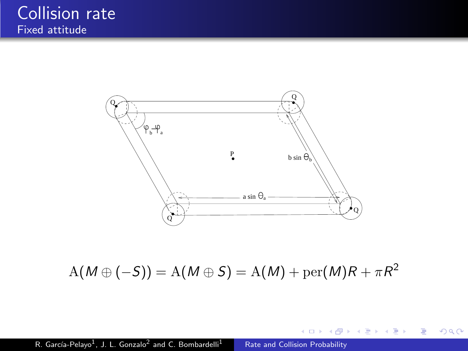

 $\mathrm{A}(M\oplus (-S)) = \mathrm{A}(M\oplus S) = \mathrm{A}(M) + \mathrm{per}(M)R + \pi R^2$ 

メタトメ ミトメ ミト

and an

 $299$ 

重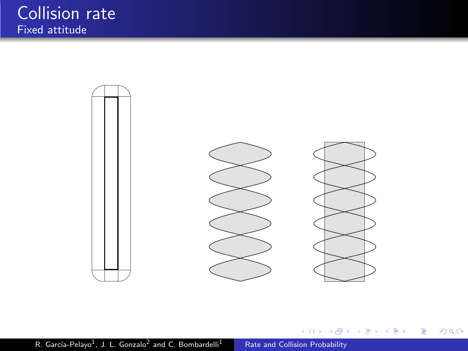

メロメ メ部メ メミメ メミメ

E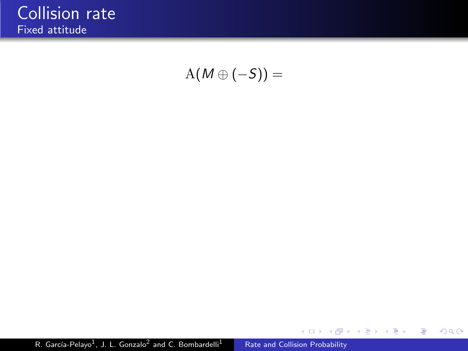$A(M \oplus (-S)) =$ 

イロト イ部 トメ 君 トメ 君 ト

目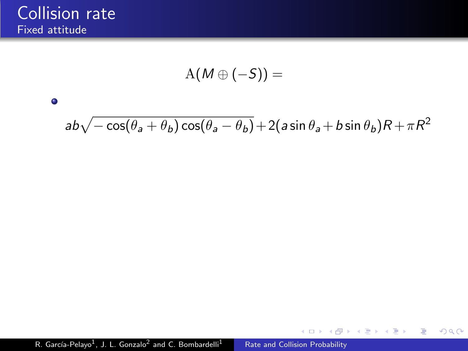$\bullet$ 

$$
{\rm A}(M\oplus (-S))=
$$

# $ab\sqrt{-\cos(\theta_a+\theta_b)\cos(\theta_a-\theta_b)}+2(a\sin\theta_a+b\sin\theta_b)R+\pi R^2$

 $299$ 

э

医单侧 医单侧

 $\sim$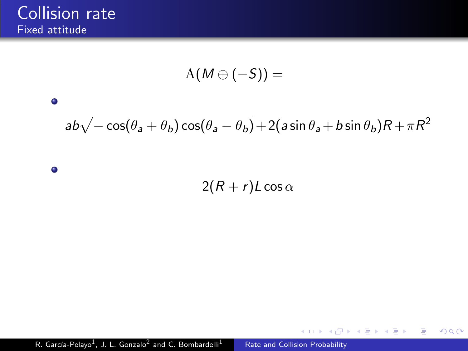$$
{\rm A}(M\oplus (-S))=
$$

## $ab\sqrt{-\cos(\theta_a+\theta_b)\cos(\theta_a-\theta_b)}+2(a\sin\theta_a+b\sin\theta_b)R+\pi R^2$

 $\bullet$ 

 $\bullet$ 

 $2(R + r)L \cos \alpha$ 

 $299$ 

э

医单侧 医单侧

 $\sim$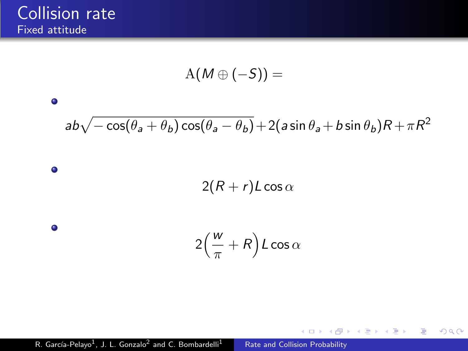$\bullet$ 

 $\bullet$ 

 $\bullet$ 

$$
{\rm A}(M\oplus(-S))=
$$

## $ab\sqrt{-\cos(\theta_a+\theta_b)\cos(\theta_a-\theta_b)}+2(a\sin\theta_a+b\sin\theta_b)R+\pi R^2$

 $2(R + r)L \cos \alpha$ 

$$
2\left(\frac{w}{\pi}+R\right)L\cos\alpha
$$

 $299$ 

э

 $\sim$ 

医单侧 医单侧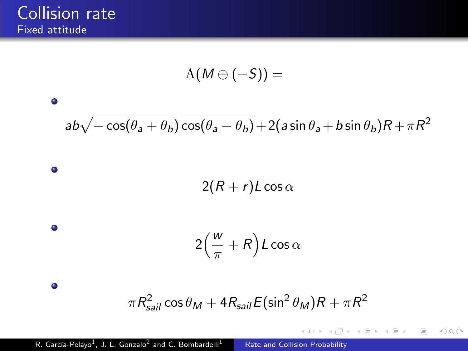$\bullet$ 

 $\bullet$ 

 $\bullet$ 

 $\bullet$ 

$$
{\rm A}(M\oplus (-S))=
$$

$$
ab\sqrt{-\cos(\theta_a+\theta_b)\cos(\theta_a-\theta_b)}+2(a\sin\theta_a+b\sin\theta_b)R+\pi R^2
$$

$$
2(R+r)L\cos\alpha
$$

$$
2\left(\frac{w}{\pi}+R\right)L\cos\alpha
$$

$$
\pi R_{sail}^2 \cos \theta_M + 4 R_{sail} E(\sin^2 \theta_M) R + \pi R^2
$$

**←ロト ← 伊** 

 $\rightarrow$ 4. 重  $\mathbf{h}$ ∍ × E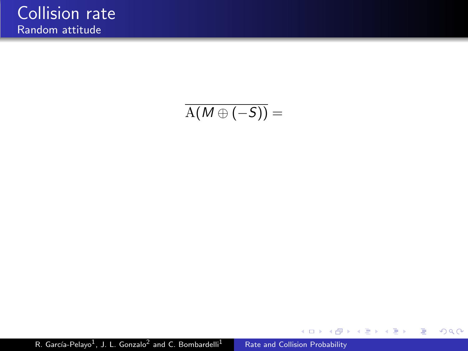### $\overline{A(M\oplus (-S))} =$

R. García-Pelayo<sup>1</sup>, J. L. Gonzalo<sup>2</sup> [Rate and Collision Probability](#page-0-0)

メロトメ 御 トメ 差 トメ

Ε

重き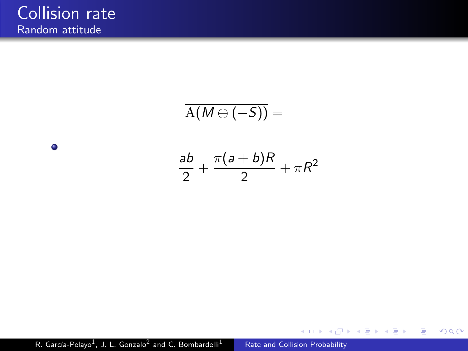$\bullet$ 

$$
\overline{A(M \oplus (-S))} =
$$
  

$$
\frac{ab}{2} + \frac{\pi(a+b)R}{2} + \pi R^2
$$

4. 0. 3.

4 伊  $\,$ э

×.  $\sim$  Þ

∍ ×  $299$ 

R. García-Pelayo<sup>1</sup>, J. L. Gonzalo<sup>2</sup> [Rate and Collision Probability](#page-0-0)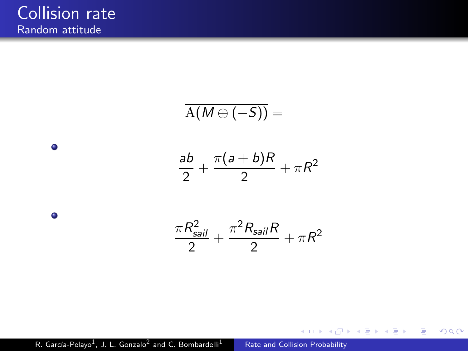$\bullet$ 

 $\bullet$ 

$$
\overline{A(M \oplus (-S))} =
$$
\n
$$
\frac{ab}{2} + \frac{\pi(a+b)R}{2} + \pi R^2
$$
\n
$$
\frac{\pi R_{\text{sail}}^2}{2} + \frac{\pi^2 R_{\text{sail}} R}{2} + \pi R^2
$$

4. 0. 3.

4 伊  $\,$ э

×. **B**  Þ

∍ ×  $299$ 

R. García-Pelayo<sup>1</sup>, J. L. Gonzalo<sup>2</sup> [Rate and Collision Probability](#page-0-0)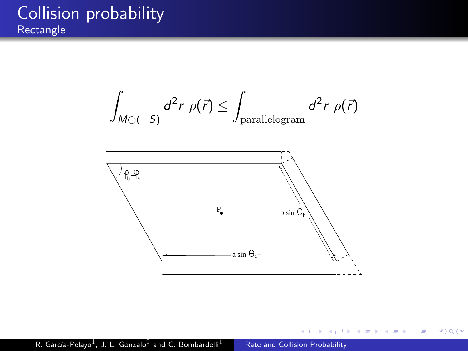#### Collision probability **Rectangle**

$$
\int_{M \oplus (-S)} d^2r \; \rho(\vec{r}) \leq \int_{\text{parallelogram}} d^2r \; \rho(\vec{r})
$$



 $\leftarrow$  $\,$ a. 同  $\,$ 一心語  $\sim$ э × ×

Þ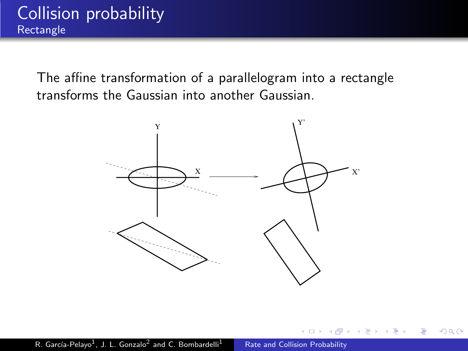The affine transformation of a parallelogram into a rectangle transforms the Gaussian into another Gaussian.



 $\Omega$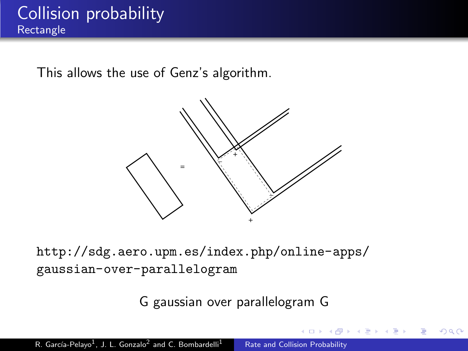This allows the use of Genz's algorithm.



[http://sdg.aero.upm.es/index.php/online-apps/](http://sdg.aero.upm.es/index.php/online-apps/gaussian-over-parallelogram) [gaussian-over-parallelogram](http://sdg.aero.upm.es/index.php/online-apps/gaussian-over-parallelogram)

G gaussian over parallelogram G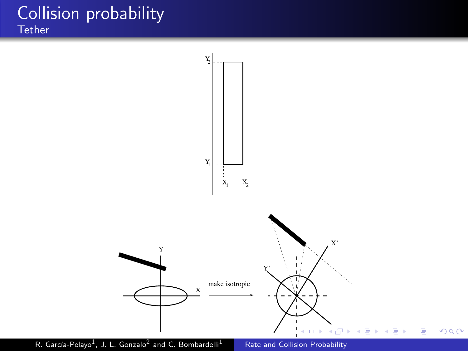#### Collision probability **Tether**



R. García-Pelayo<sup>1</sup>, J. L. Gonzalo<sup>2</sup>

[Rate and Collision Probability](#page-0-0)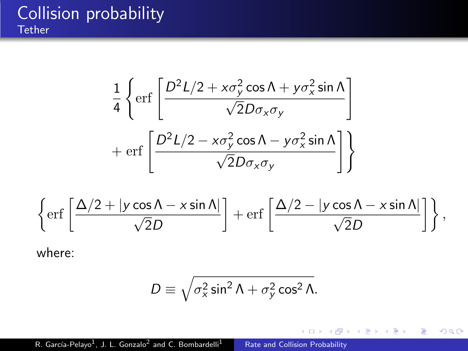#### Collision probability **Tether**

$$
\frac{1}{4}\left\{\text{erf}\left[\frac{D^2L/2 + x\sigma_y^2\cos\Lambda + y\sigma_x^2\sin\Lambda}{\sqrt{2}D\sigma_x\sigma_y}\right]\right.
$$

$$
+\text{erf}\left[\frac{D^2L/2 - x\sigma_y^2\cos\Lambda - y\sigma_x^2\sin\Lambda}{\sqrt{2}D\sigma_x\sigma_y}\right]\right\}
$$

$$
\left\{\text{erf}\left[\frac{\Delta/2 + |y\cos\Lambda - x\sin\Lambda|}{\sqrt{2}D}\right] + \text{erf}\left[\frac{\Delta/2 - |y\cos\Lambda - x\sin\Lambda|}{\sqrt{2}D}\right] \right\},\right.
$$

where:

$$
D \equiv \sqrt{\sigma_x^2 \sin^2 \Lambda + \sigma_y^2 \cos^2 \Lambda}.
$$

 $\leftarrow$ 

Þ a. 同  $\sim$ 4. 重 Þ

∍ ×

 $\sim$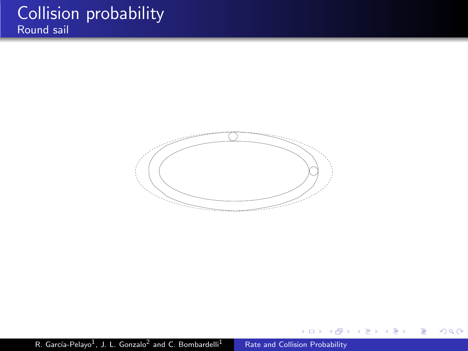#### Collision probability Round sail



 $\leftarrow$ 

Þ

э

 $\sim$ 

 $\sim$ 

Έ

 $299$ 

∍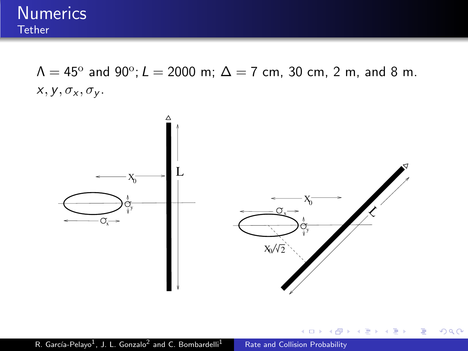

 $\Lambda = 45^{\rm o}$  and 90 $^{\rm o}$ ;  $L = 2000$  m;  $\Delta = 7$  cm, 30 cm, 2 m, and 8 m.  $x, y, \sigma_x, \sigma_y$ .



 $4.17$ 

э  $\sim$ 

 $2Q$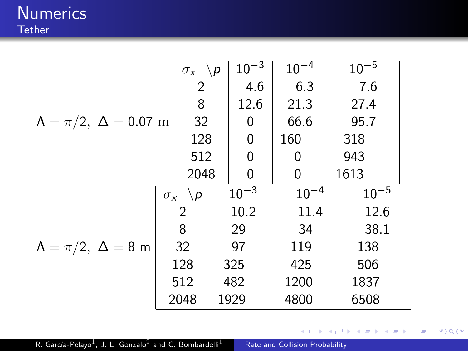**Numerics Tether** 

$$
\Lambda = \pi/2, \ \Delta = 0.07 \text{ m}
$$
\n

| $\sigma_x \ \ \sqrt{p} \ 10^{-3} \ 10^{-4} \ 10^{-5}$ |      |      |      |     |
|-------------------------------------------------------|------|------|------|-----|
| 2                                                     | 4.6  | 6.3  | 7.6  |     |
| 8                                                     | 12.6 | 21.3 | 27.4 |     |
| 128                                                   | 0    | 66.6 | 95.7 |     |
| 128                                                   | 0    | 160  | 318  |     |
| 512                                                   | 0    | 0    | 943  |     |
| 2048                                                  | 0    | 0    | 1613 |     |
| 2                                                     | 10.2 | 11.4 | 12.6 |     |
| 3                                                     | 29   | 34   | 38.1 |     |
| 128                                                   | 32   | 97   | 119  | 138 |
| 128                                                   | 325  | 425  | 506  |     |
| 512                                                   | 482  | 1200 | 1837 |     |
| 2048                                                  | 1929 | 4800 | 6508 |     |

[Rate and Collision Probability](#page-0-0)

**Kロト (伊)** 

重

 $\rightarrow$ ×.

 $\leftarrow$   $\equiv$  $\,$  目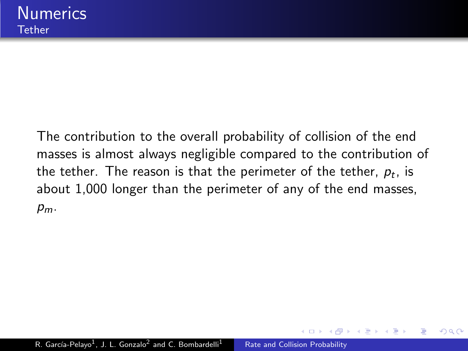The contribution to the overall probability of collision of the end masses is almost always negligible compared to the contribution of the tether. The reason is that the perimeter of the tether,  $\rho_t$ , is about 1,000 longer than the perimeter of any of the end masses,  $p_m$ .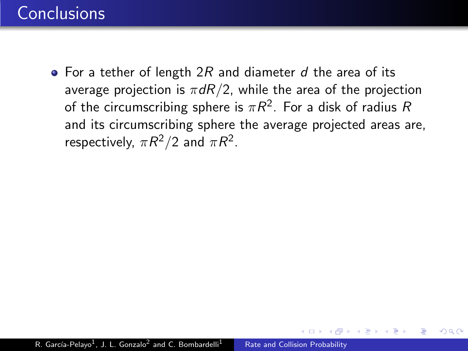### **Conclusions**

• For a tether of length  $2R$  and diameter d the area of its average projection is  $\pi dR/2$ , while the area of the projection of the circumscribing sphere is  $\pi R^2.$  For a disk of radius  $R$ and its circumscribing sphere the average projected areas are, respectively,  $\pi R^2/2$  and  $\pi R^2$ .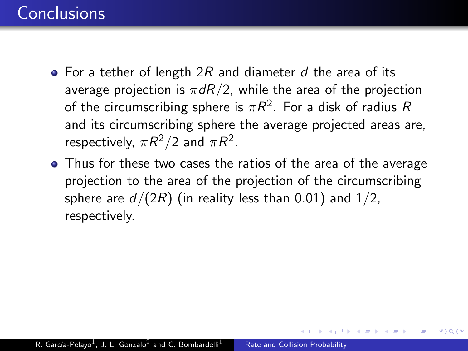### **Conclusions**

- For a tether of length  $2R$  and diameter d the area of its average projection is  $\pi dR/2$ , while the area of the projection of the circumscribing sphere is  $\pi R^2.$  For a disk of radius  $R$ and its circumscribing sphere the average projected areas are, respectively,  $\pi R^2/2$  and  $\pi R^2$ .
- Thus for these two cases the ratios of the area of the average projection to the area of the projection of the circumscribing sphere are  $d/(2R)$  (in reality less than 0.01) and 1/2, respectively.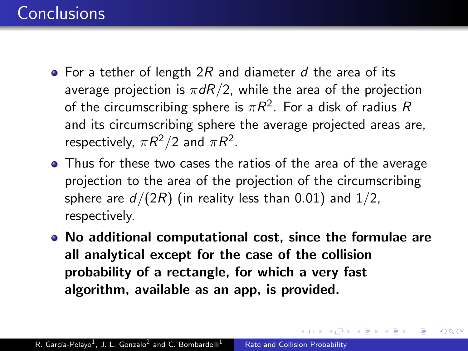### **Conclusions**

- For a tether of length  $2R$  and diameter d the area of its average projection is  $\pi dR/2$ , while the area of the projection of the circumscribing sphere is  $\pi R^2.$  For a disk of radius  $R$ and its circumscribing sphere the average projected areas are, respectively,  $\pi R^2/2$  and  $\pi R^2$ .
- Thus for these two cases the ratios of the area of the average projection to the area of the projection of the circumscribing sphere are  $d/(2R)$  (in reality less than 0.01) and 1/2, respectively.
- No additional computational cost, since the formulae are all analytical except for the case of the collision probability of a rectangle, for which a very fast algorithm, available as an app, is provided.